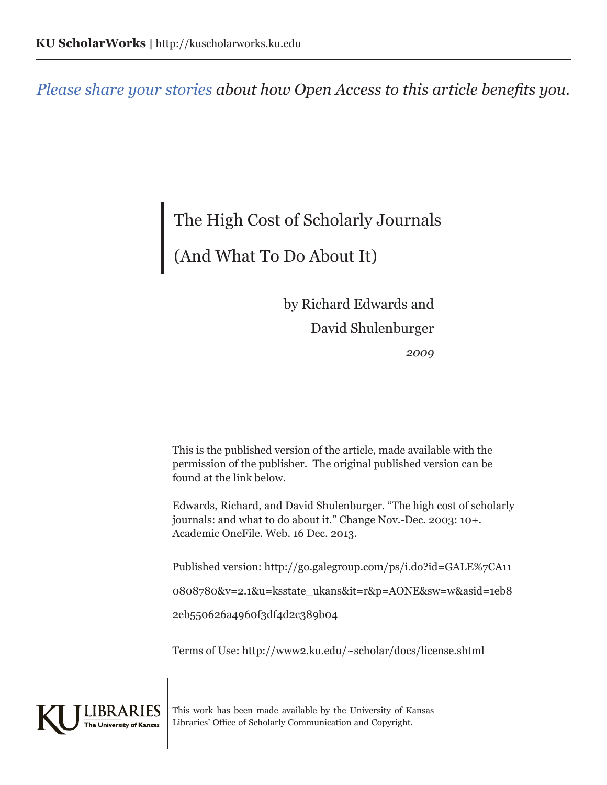*[Please share your stories](https://openaccess.ku.edu/OA_Benefits) about how Open Access to this article benefits you.*

# The High Cost of Scholarly Journals (And What To Do About It)

*2009* by Richard Edwards and David Shulenburger

This is the published version of the article, made available with the permission of the publisher. The original published version can be found at the link below.

Edwards, Richard, and David Shulenburger. "The high cost of scholarly journals: and what to do about it." Change Nov.-Dec. 2003: 10+. Academic OneFile. Web. 16 Dec. 2013.

Published version: http://go.galegroup.com/ps/i.do?id=GALE%7CA11 0808780&v=2.1&u=ksstate\_ukans&it=r&p=AONE&sw=w&asid=1eb8

2eb550626a4960f3df4d2c389b04

Terms of Use: http://www2.ku.edu/~scholar/docs/license.shtml



This work has been made available by the University of Kansas Libraries' Office of Scholarly Communication and Copyright.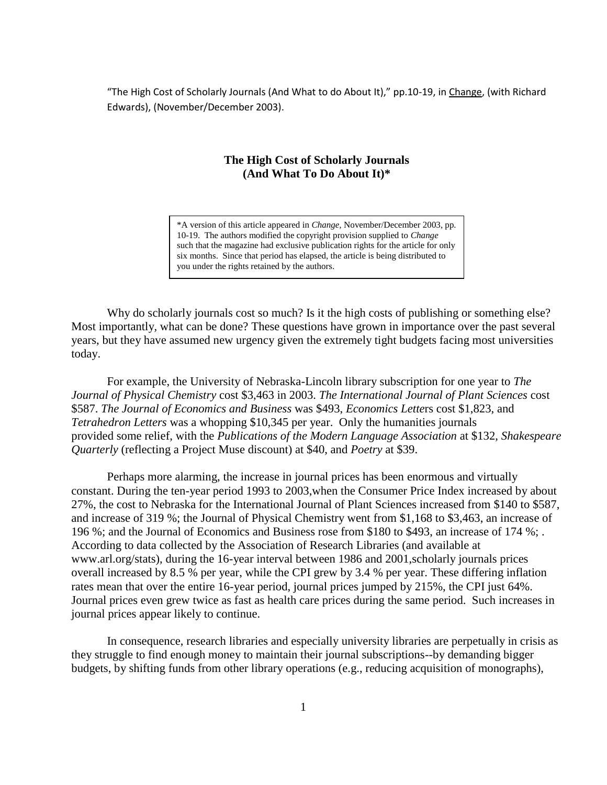"The High Cost of Scholarly Journals (And What to do About It)," pp.10-19, in Change, (with Richard Edwards), (November/December 2003).

## **The High Cost of Scholarly Journals (And What To Do About It)\***

\*A version of this article appeared in *Change,* November/December 2003, pp. 10-19. The authors modified the copyright provision supplied to *Change* such that the magazine had exclusive publication rights for the article for only six months. Since that period has elapsed, the article is being distributed to you under the rights retained by the authors.

Why do scholarly journals cost so much? Is it the high costs of publishing or something else? Most importantly, what can be done? These questions have grown in importance over the past several years, but they have assumed new urgency given the extremely tight budgets facing most universities today.

For example, the University of Nebraska-Lincoln library subscription for one year to *The Journal of Physical Chemistry* cost \$3,463 in 2003. *The International Journal of Plant Sciences* cost \$587. *The Journal of Economics and Business* was \$493, *Economics Lette*rs cost \$1,823, and *Tetrahedron Letters* was a whopping \$10,345 per year. Only the humanities journals provided some relief, with the *Publications of the Modern Language Association* at \$132, *Shakespeare Quarterly* (reflecting a Project Muse discount) at \$40, and *Poetry* at \$39.

Perhaps more alarming, the increase in journal prices has been enormous and virtually constant. During the ten-year period 1993 to 2003,when the Consumer Price Index increased by about 27%, the cost to Nebraska for the International Journal of Plant Sciences increased from \$140 to \$587, and increase of 319 %; the Journal of Physical Chemistry went from \$1,168 to \$3,463, an increase of 196 %; and the Journal of Economics and Business rose from \$180 to \$493, an increase of 174 %; . According to data collected by the Association of Research Libraries (and available at www.arl.org/stats), during the 16-year interval between 1986 and 2001,scholarly journals prices overall increased by 8.5 % per year, while the CPI grew by 3.4 % per year. These differing inflation rates mean that over the entire 16-year period, journal prices jumped by 215%, the CPI just 64%. Journal prices even grew twice as fast as health care prices during the same period. Such increases in journal prices appear likely to continue.

In consequence, research libraries and especially university libraries are perpetually in crisis as they struggle to find enough money to maintain their journal subscriptions--by demanding bigger budgets, by shifting funds from other library operations (e.g., reducing acquisition of monographs),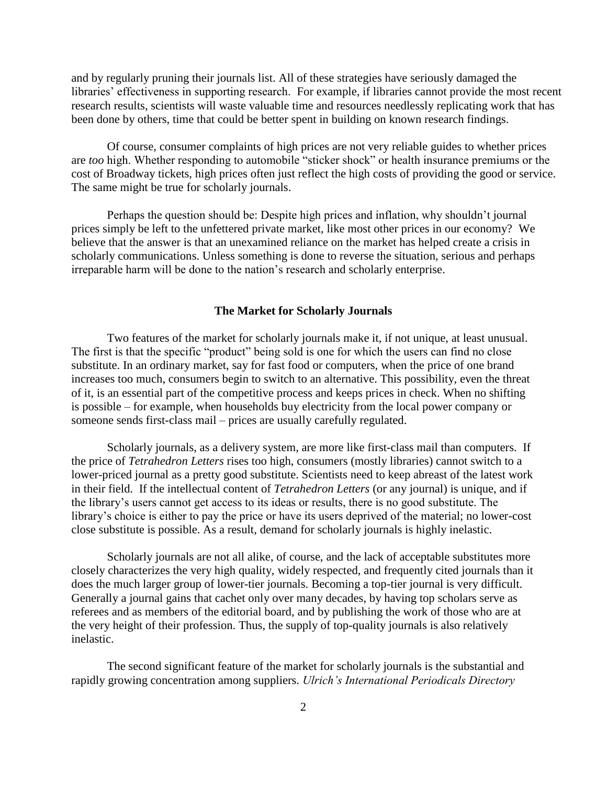and by regularly pruning their journals list. All of these strategies have seriously damaged the libraries' effectiveness in supporting research. For example, if libraries cannot provide the most recent research results, scientists will waste valuable time and resources needlessly replicating work that has been done by others, time that could be better spent in building on known research findings.

Of course, consumer complaints of high prices are not very reliable guides to whether prices are *too* high. Whether responding to automobile "sticker shock" or health insurance premiums or the cost of Broadway tickets, high prices often just reflect the high costs of providing the good or service. The same might be true for scholarly journals.

Perhaps the question should be: Despite high prices and inflation, why shouldn't journal prices simply be left to the unfettered private market, like most other prices in our economy? We believe that the answer is that an unexamined reliance on the market has helped create a crisis in scholarly communications. Unless something is done to reverse the situation, serious and perhaps irreparable harm will be done to the nation's research and scholarly enterprise.

#### **The Market for Scholarly Journals**

Two features of the market for scholarly journals make it, if not unique, at least unusual. The first is that the specific "product" being sold is one for which the users can find no close substitute. In an ordinary market, say for fast food or computers, when the price of one brand increases too much, consumers begin to switch to an alternative. This possibility, even the threat of it, is an essential part of the competitive process and keeps prices in check. When no shifting is possible – for example, when households buy electricity from the local power company or someone sends first-class mail – prices are usually carefully regulated.

Scholarly journals, as a delivery system, are more like first-class mail than computers. If the price of *Tetrahedron Letters* rises too high, consumers (mostly libraries) cannot switch to a lower-priced journal as a pretty good substitute. Scientists need to keep abreast of the latest work in their field. If the intellectual content of *Tetrahedron Letters* (or any journal) is unique, and if the library's users cannot get access to its ideas or results, there is no good substitute. The library's choice is either to pay the price or have its users deprived of the material; no lower-cost close substitute is possible. As a result, demand for scholarly journals is highly inelastic.

Scholarly journals are not all alike, of course, and the lack of acceptable substitutes more closely characterizes the very high quality, widely respected, and frequently cited journals than it does the much larger group of lower-tier journals. Becoming a top-tier journal is very difficult. Generally a journal gains that cachet only over many decades, by having top scholars serve as referees and as members of the editorial board, and by publishing the work of those who are at the very height of their profession. Thus, the supply of top-quality journals is also relatively inelastic.

The second significant feature of the market for scholarly journals is the substantial and rapidly growing concentration among suppliers. *Ulrich's International Periodicals Directory*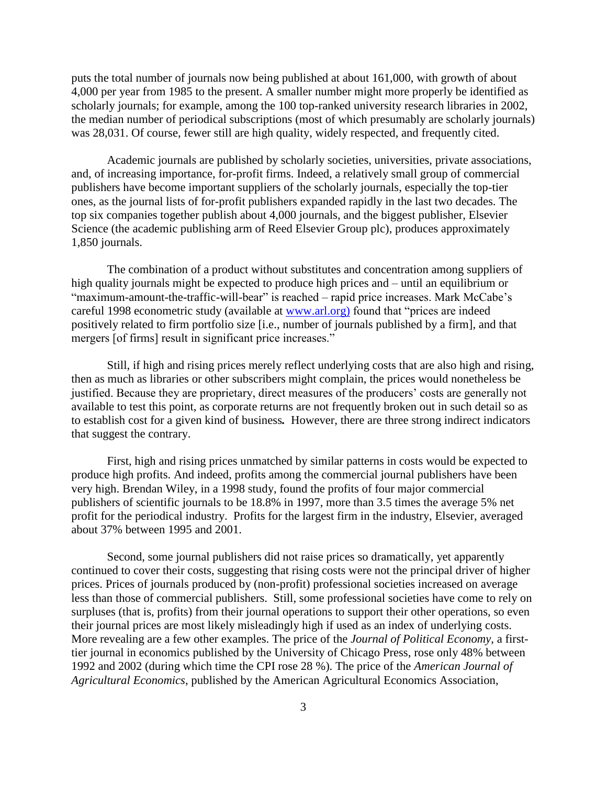puts the total number of journals now being published at about 161,000, with growth of about 4,000 per year from 1985 to the present. A smaller number might more properly be identified as scholarly journals; for example, among the 100 top-ranked university research libraries in 2002, the median number of periodical subscriptions (most of which presumably are scholarly journals) was 28,031. Of course, fewer still are high quality, widely respected, and frequently cited.

Academic journals are published by scholarly societies, universities, private associations, and, of increasing importance, for-profit firms. Indeed, a relatively small group of commercial publishers have become important suppliers of the scholarly journals, especially the top-tier ones, as the journal lists of for-profit publishers expanded rapidly in the last two decades. The top six companies together publish about 4,000 journals, and the biggest publisher, Elsevier Science (the academic publishing arm of Reed Elsevier Group plc), produces approximately 1,850 journals.

The combination of a product without substitutes and concentration among suppliers of high quality journals might be expected to produce high prices and – until an equilibrium or "maximum-amount-the-traffic-will-bear" is reached – rapid price increases. Mark McCabe's careful 1998 econometric study (available at www.arl.org) found that "prices are indeed positively related to firm portfolio size [i.e., number of journals published by a firm], and that mergers [of firms] result in significant price increases."

Still, if high and rising prices merely reflect underlying costs that are also high and rising, then as much as libraries or other subscribers might complain, the prices would nonetheless be justified. Because they are proprietary, direct measures of the producers' costs are generally not available to test this point, as corporate returns are not frequently broken out in such detail so as to establish cost for a given kind of business*.* However, there are three strong indirect indicators that suggest the contrary.

First, high and rising prices unmatched by similar patterns in costs would be expected to produce high profits. And indeed, profits among the commercial journal publishers have been very high. Brendan Wiley, in a 1998 study, found the profits of four major commercial publishers of scientific journals to be 18.8% in 1997, more than 3.5 times the average 5% net profit for the periodical industry. Profits for the largest firm in the industry, Elsevier, averaged about 37% between 1995 and 2001.

Second, some journal publishers did not raise prices so dramatically, yet apparently continued to cover their costs, suggesting that rising costs were not the principal driver of higher prices. Prices of journals produced by (non-profit) professional societies increased on average less than those of commercial publishers. Still, some professional societies have come to rely on surpluses (that is, profits) from their journal operations to support their other operations, so even their journal prices are most likely misleadingly high if used as an index of underlying costs. More revealing are a few other examples. The price of the *Journal of Political Economy*, a firsttier journal in economics published by the University of Chicago Press, rose only 48% between 1992 and 2002 (during which time the CPI rose 28 %). The price of the *American Journal of Agricultural Economics*, published by the American Agricultural Economics Association,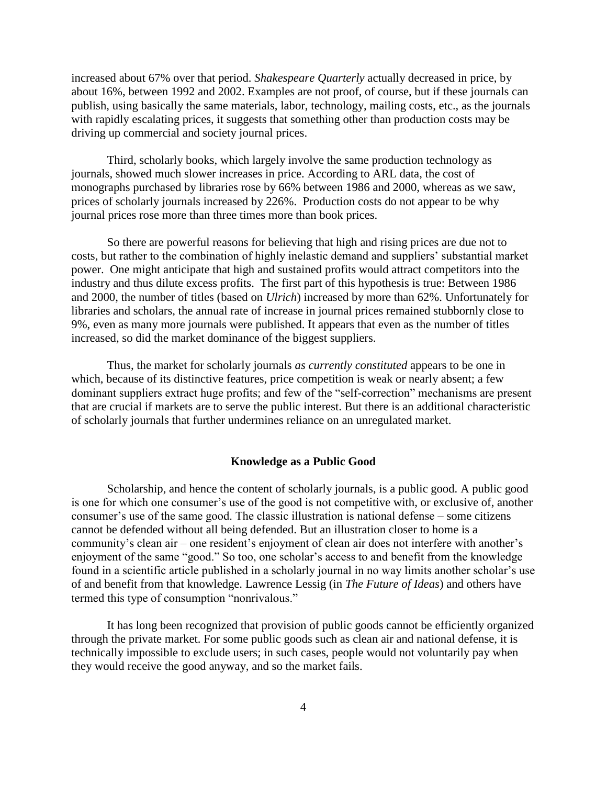increased about 67% over that period. *Shakespeare Quarterly* actually decreased in price, by about 16%, between 1992 and 2002. Examples are not proof, of course, but if these journals can publish, using basically the same materials, labor, technology, mailing costs, etc., as the journals with rapidly escalating prices, it suggests that something other than production costs may be driving up commercial and society journal prices.

Third, scholarly books, which largely involve the same production technology as journals, showed much slower increases in price. According to ARL data, the cost of monographs purchased by libraries rose by 66% between 1986 and 2000, whereas as we saw, prices of scholarly journals increased by 226%. Production costs do not appear to be why journal prices rose more than three times more than book prices.

So there are powerful reasons for believing that high and rising prices are due not to costs, but rather to the combination of highly inelastic demand and suppliers' substantial market power. One might anticipate that high and sustained profits would attract competitors into the industry and thus dilute excess profits. The first part of this hypothesis is true: Between 1986 and 2000, the number of titles (based on *Ulrich*) increased by more than 62%. Unfortunately for libraries and scholars, the annual rate of increase in journal prices remained stubbornly close to 9%, even as many more journals were published. It appears that even as the number of titles increased, so did the market dominance of the biggest suppliers.

Thus, the market for scholarly journals *as currently constituted* appears to be one in which, because of its distinctive features, price competition is weak or nearly absent; a few dominant suppliers extract huge profits; and few of the "self-correction" mechanisms are present that are crucial if markets are to serve the public interest. But there is an additional characteristic of scholarly journals that further undermines reliance on an unregulated market.

### **Knowledge as a Public Good**

Scholarship, and hence the content of scholarly journals, is a public good. A public good is one for which one consumer's use of the good is not competitive with, or exclusive of, another consumer's use of the same good. The classic illustration is national defense – some citizens cannot be defended without all being defended. But an illustration closer to home is a community's clean air – one resident's enjoyment of clean air does not interfere with another's enjoyment of the same "good." So too, one scholar's access to and benefit from the knowledge found in a scientific article published in a scholarly journal in no way limits another scholar's use of and benefit from that knowledge. Lawrence Lessig (in *The Future of Ideas*) and others have termed this type of consumption "nonrivalous."

It has long been recognized that provision of public goods cannot be efficiently organized through the private market. For some public goods such as clean air and national defense, it is technically impossible to exclude users; in such cases, people would not voluntarily pay when they would receive the good anyway, and so the market fails.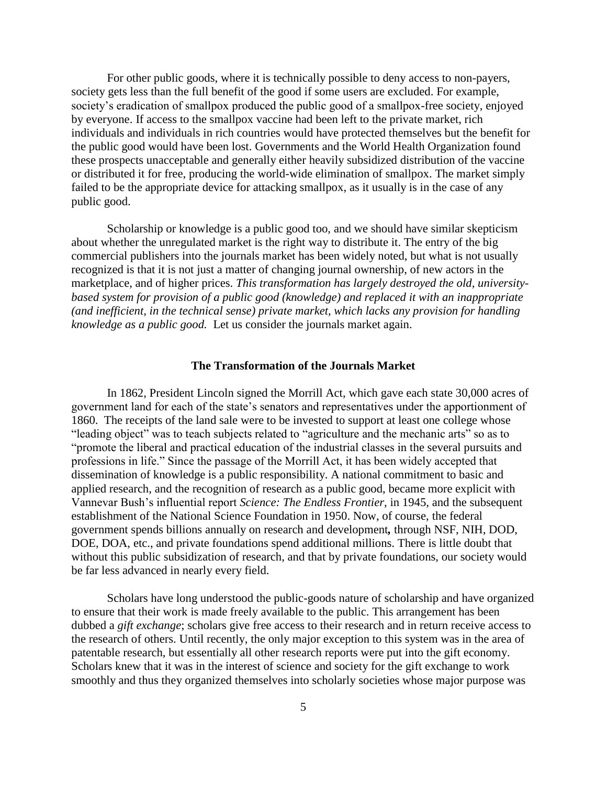For other public goods, where it is technically possible to deny access to non-payers, society gets less than the full benefit of the good if some users are excluded. For example, society's eradication of smallpox produced the public good of a smallpox-free society, enjoyed by everyone. If access to the smallpox vaccine had been left to the private market, rich individuals and individuals in rich countries would have protected themselves but the benefit for the public good would have been lost. Governments and the World Health Organization found these prospects unacceptable and generally either heavily subsidized distribution of the vaccine or distributed it for free, producing the world-wide elimination of smallpox. The market simply failed to be the appropriate device for attacking smallpox, as it usually is in the case of any public good.

Scholarship or knowledge is a public good too, and we should have similar skepticism about whether the unregulated market is the right way to distribute it. The entry of the big commercial publishers into the journals market has been widely noted, but what is not usually recognized is that it is not just a matter of changing journal ownership, of new actors in the marketplace, and of higher prices. *This transformation has largely destroyed the old, universitybased system for provision of a public good (knowledge) and replaced it with an inappropriate (and inefficient, in the technical sense) private market, which lacks any provision for handling knowledge as a public good.* Let us consider the journals market again.

#### **The Transformation of the Journals Market**

In 1862, President Lincoln signed the Morrill Act, which gave each state 30,000 acres of government land for each of the state's senators and representatives under the apportionment of 1860. The receipts of the land sale were to be invested to support at least one college whose "leading object" was to teach subjects related to "agriculture and the mechanic arts" so as to "promote the liberal and practical education of the industrial classes in the several pursuits and professions in life." Since the passage of the Morrill Act, it has been widely accepted that dissemination of knowledge is a public responsibility. A national commitment to basic and applied research, and the recognition of research as a public good, became more explicit with Vannevar Bush's influential report *Science: The Endless Frontier*, in 1945, and the subsequent establishment of the National Science Foundation in 1950. Now, of course, the federal government spends billions annually on research and development*,* through NSF, NIH, DOD, DOE, DOA, etc., and private foundations spend additional millions. There is little doubt that without this public subsidization of research, and that by private foundations, our society would be far less advanced in nearly every field.

Scholars have long understood the public-goods nature of scholarship and have organized to ensure that their work is made freely available to the public. This arrangement has been dubbed a *gift exchange*; scholars give free access to their research and in return receive access to the research of others. Until recently, the only major exception to this system was in the area of patentable research, but essentially all other research reports were put into the gift economy. Scholars knew that it was in the interest of science and society for the gift exchange to work smoothly and thus they organized themselves into scholarly societies whose major purpose was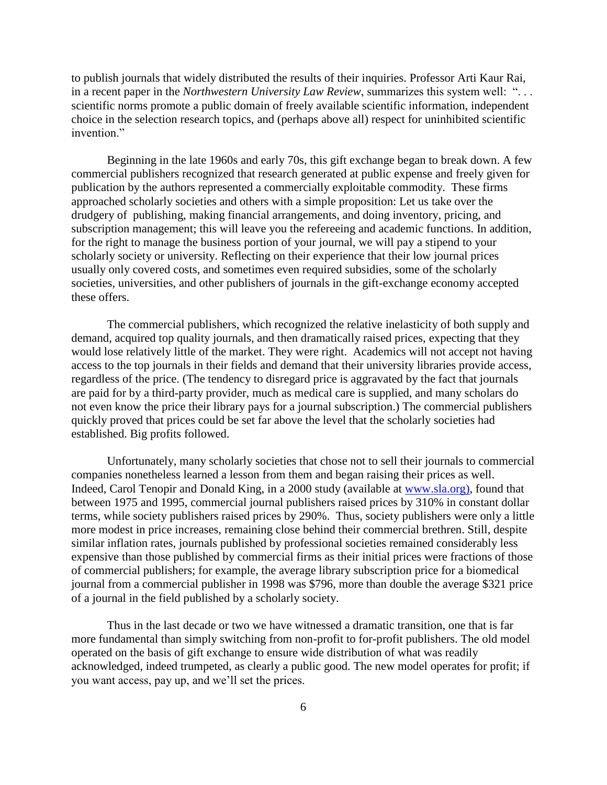to publish journals that widely distributed the results of their inquiries. Professor Arti Kaur Rai, in a recent paper in the *Northwestern University Law Review*, summarizes this system well: ". . . scientific norms promote a public domain of freely available scientific information, independent choice in the selection research topics, and (perhaps above all) respect for uninhibited scientific invention"

Beginning in the late 1960s and early 70s, this gift exchange began to break down. A few commercial publishers recognized that research generated at public expense and freely given for publication by the authors represented a commercially exploitable commodity. These firms approached scholarly societies and others with a simple proposition: Let us take over the drudgery of publishing, making financial arrangements, and doing inventory, pricing, and subscription management; this will leave you the refereeing and academic functions. In addition, for the right to manage the business portion of your journal, we will pay a stipend to your scholarly society or university. Reflecting on their experience that their low journal prices usually only covered costs, and sometimes even required subsidies, some of the scholarly societies, universities, and other publishers of journals in the gift-exchange economy accepted these offers.

The commercial publishers, which recognized the relative inelasticity of both supply and demand, acquired top quality journals, and then dramatically raised prices, expecting that they would lose relatively little of the market. They were right. Academics will not accept not having access to the top journals in their fields and demand that their university libraries provide access, regardless of the price. (The tendency to disregard price is aggravated by the fact that journals are paid for by a third-party provider, much as medical care is supplied, and many scholars do not even know the price their library pays for a journal subscription.) The commercial publishers quickly proved that prices could be set far above the level that the scholarly societies had established. Big profits followed.

Unfortunately, many scholarly societies that chose not to sell their journals to commercial companies nonetheless learned a lesson from them and began raising their prices as well. Indeed, Carol Tenopir and Donald King, in a 2000 study (available at www.sla.org), found that between 1975 and 1995, commercial journal publishers raised prices by 310% in constant dollar terms, while society publishers raised prices by 290%. Thus, society publishers were only a little more modest in price increases, remaining close behind their commercial brethren. Still, despite similar inflation rates, journals published by professional societies remained considerably less expensive than those published by commercial firms as their initial prices were fractions of those of commercial publishers; for example, the average library subscription price for a biomedical journal from a commercial publisher in 1998 was \$796, more than double the average \$321 price of a journal in the field published by a scholarly society.

Thus in the last decade or two we have witnessed a dramatic transition, one that is far more fundamental than simply switching from non-profit to for-profit publishers. The old model operated on the basis of gift exchange to ensure wide distribution of what was readily acknowledged, indeed trumpeted, as clearly a public good. The new model operates for profit; if you want access, pay up, and we'll set the prices.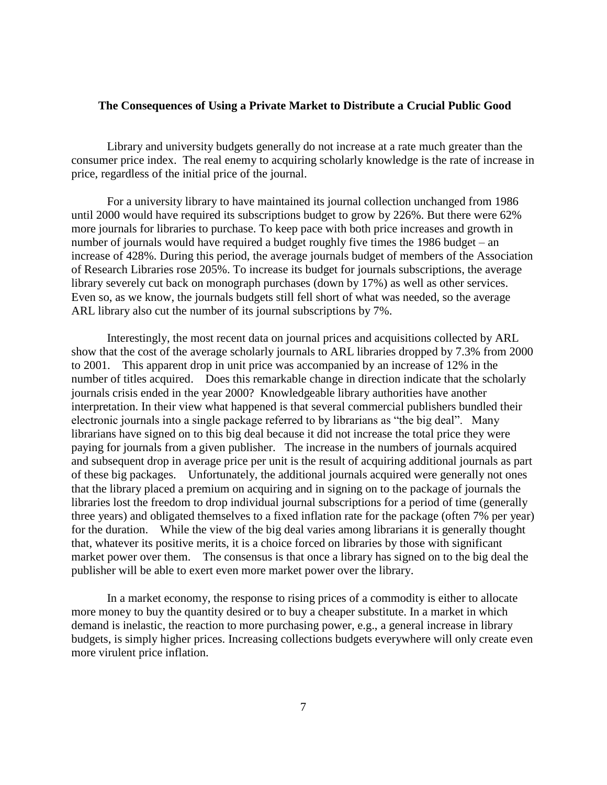### **The Consequences of Using a Private Market to Distribute a Crucial Public Good**

Library and university budgets generally do not increase at a rate much greater than the consumer price index. The real enemy to acquiring scholarly knowledge is the rate of increase in price, regardless of the initial price of the journal.

For a university library to have maintained its journal collection unchanged from 1986 until 2000 would have required its subscriptions budget to grow by 226%. But there were 62% more journals for libraries to purchase. To keep pace with both price increases and growth in number of journals would have required a budget roughly five times the 1986 budget – an increase of 428%. During this period, the average journals budget of members of the Association of Research Libraries rose 205%. To increase its budget for journals subscriptions, the average library severely cut back on monograph purchases (down by 17%) as well as other services. Even so, as we know, the journals budgets still fell short of what was needed, so the average ARL library also cut the number of its journal subscriptions by 7%.

Interestingly, the most recent data on journal prices and acquisitions collected by ARL show that the cost of the average scholarly journals to ARL libraries dropped by 7.3% from 2000 to 2001. This apparent drop in unit price was accompanied by an increase of 12% in the number of titles acquired. Does this remarkable change in direction indicate that the scholarly journals crisis ended in the year 2000? Knowledgeable library authorities have another interpretation. In their view what happened is that several commercial publishers bundled their electronic journals into a single package referred to by librarians as "the big deal". Many librarians have signed on to this big deal because it did not increase the total price they were paying for journals from a given publisher. The increase in the numbers of journals acquired and subsequent drop in average price per unit is the result of acquiring additional journals as part of these big packages. Unfortunately, the additional journals acquired were generally not ones that the library placed a premium on acquiring and in signing on to the package of journals the libraries lost the freedom to drop individual journal subscriptions for a period of time (generally three years) and obligated themselves to a fixed inflation rate for the package (often 7% per year) for the duration. While the view of the big deal varies among librarians it is generally thought that, whatever its positive merits, it is a choice forced on libraries by those with significant market power over them. The consensus is that once a library has signed on to the big deal the publisher will be able to exert even more market power over the library.

In a market economy, the response to rising prices of a commodity is either to allocate more money to buy the quantity desired or to buy a cheaper substitute. In a market in which demand is inelastic, the reaction to more purchasing power, e.g., a general increase in library budgets, is simply higher prices. Increasing collections budgets everywhere will only create even more virulent price inflation.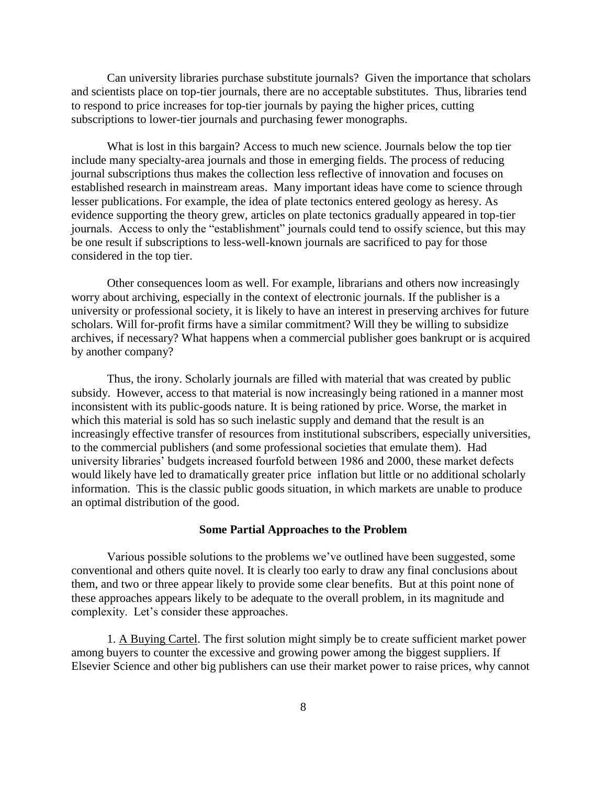Can university libraries purchase substitute journals? Given the importance that scholars and scientists place on top-tier journals, there are no acceptable substitutes. Thus, libraries tend to respond to price increases for top-tier journals by paying the higher prices, cutting subscriptions to lower-tier journals and purchasing fewer monographs.

What is lost in this bargain? Access to much new science. Journals below the top tier include many specialty-area journals and those in emerging fields. The process of reducing journal subscriptions thus makes the collection less reflective of innovation and focuses on established research in mainstream areas. Many important ideas have come to science through lesser publications. For example, the idea of plate tectonics entered geology as heresy. As evidence supporting the theory grew, articles on plate tectonics gradually appeared in top-tier journals. Access to only the "establishment" journals could tend to ossify science, but this may be one result if subscriptions to less-well-known journals are sacrificed to pay for those considered in the top tier.

Other consequences loom as well. For example, librarians and others now increasingly worry about archiving, especially in the context of electronic journals. If the publisher is a university or professional society, it is likely to have an interest in preserving archives for future scholars. Will for-profit firms have a similar commitment? Will they be willing to subsidize archives, if necessary? What happens when a commercial publisher goes bankrupt or is acquired by another company?

Thus, the irony. Scholarly journals are filled with material that was created by public subsidy. However, access to that material is now increasingly being rationed in a manner most inconsistent with its public-goods nature. It is being rationed by price. Worse, the market in which this material is sold has so such inelastic supply and demand that the result is an increasingly effective transfer of resources from institutional subscribers, especially universities, to the commercial publishers (and some professional societies that emulate them). Had university libraries' budgets increased fourfold between 1986 and 2000, these market defects would likely have led to dramatically greater price inflation but little or no additional scholarly information. This is the classic public goods situation, in which markets are unable to produce an optimal distribution of the good.

#### **Some Partial Approaches to the Problem**

Various possible solutions to the problems we've outlined have been suggested, some conventional and others quite novel. It is clearly too early to draw any final conclusions about them, and two or three appear likely to provide some clear benefits. But at this point none of these approaches appears likely to be adequate to the overall problem, in its magnitude and complexity. Let's consider these approaches.

1. A Buying Cartel. The first solution might simply be to create sufficient market power among buyers to counter the excessive and growing power among the biggest suppliers. If Elsevier Science and other big publishers can use their market power to raise prices, why cannot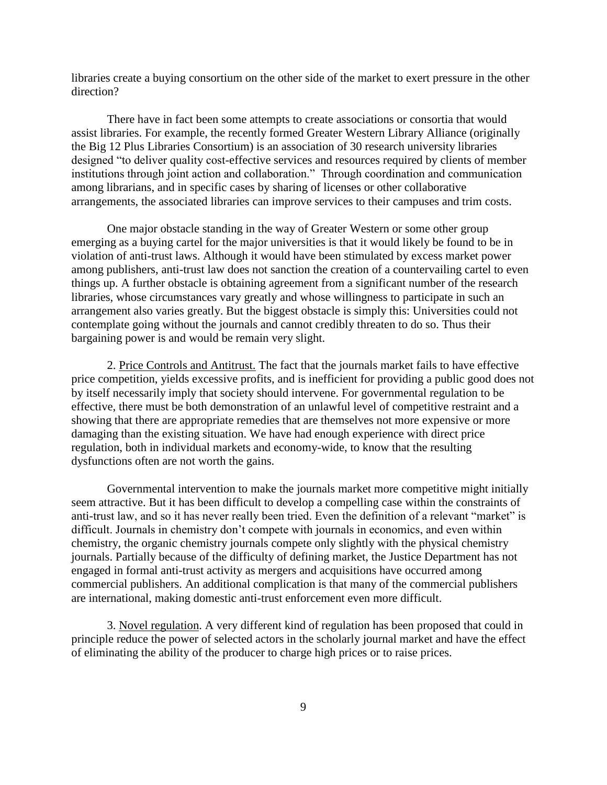libraries create a buying consortium on the other side of the market to exert pressure in the other direction?

There have in fact been some attempts to create associations or consortia that would assist libraries. For example, the recently formed Greater Western Library Alliance (originally the Big 12 Plus Libraries Consortium) is an association of 30 research university libraries designed "to deliver quality cost-effective services and resources required by clients of member institutions through joint action and collaboration." Through coordination and communication among librarians, and in specific cases by sharing of licenses or other collaborative arrangements, the associated libraries can improve services to their campuses and trim costs.

One major obstacle standing in the way of Greater Western or some other group emerging as a buying cartel for the major universities is that it would likely be found to be in violation of anti-trust laws. Although it would have been stimulated by excess market power among publishers, anti-trust law does not sanction the creation of a countervailing cartel to even things up. A further obstacle is obtaining agreement from a significant number of the research libraries, whose circumstances vary greatly and whose willingness to participate in such an arrangement also varies greatly. But the biggest obstacle is simply this: Universities could not contemplate going without the journals and cannot credibly threaten to do so. Thus their bargaining power is and would be remain very slight.

2. Price Controls and Antitrust. The fact that the journals market fails to have effective price competition, yields excessive profits, and is inefficient for providing a public good does not by itself necessarily imply that society should intervene. For governmental regulation to be effective, there must be both demonstration of an unlawful level of competitive restraint and a showing that there are appropriate remedies that are themselves not more expensive or more damaging than the existing situation. We have had enough experience with direct price regulation, both in individual markets and economy-wide, to know that the resulting dysfunctions often are not worth the gains.

Governmental intervention to make the journals market more competitive might initially seem attractive. But it has been difficult to develop a compelling case within the constraints of anti-trust law, and so it has never really been tried. Even the definition of a relevant "market" is difficult. Journals in chemistry don't compete with journals in economics, and even within chemistry, the organic chemistry journals compete only slightly with the physical chemistry journals. Partially because of the difficulty of defining market, the Justice Department has not engaged in formal anti-trust activity as mergers and acquisitions have occurred among commercial publishers. An additional complication is that many of the commercial publishers are international, making domestic anti-trust enforcement even more difficult.

3. Novel regulation. A very different kind of regulation has been proposed that could in principle reduce the power of selected actors in the scholarly journal market and have the effect of eliminating the ability of the producer to charge high prices or to raise prices.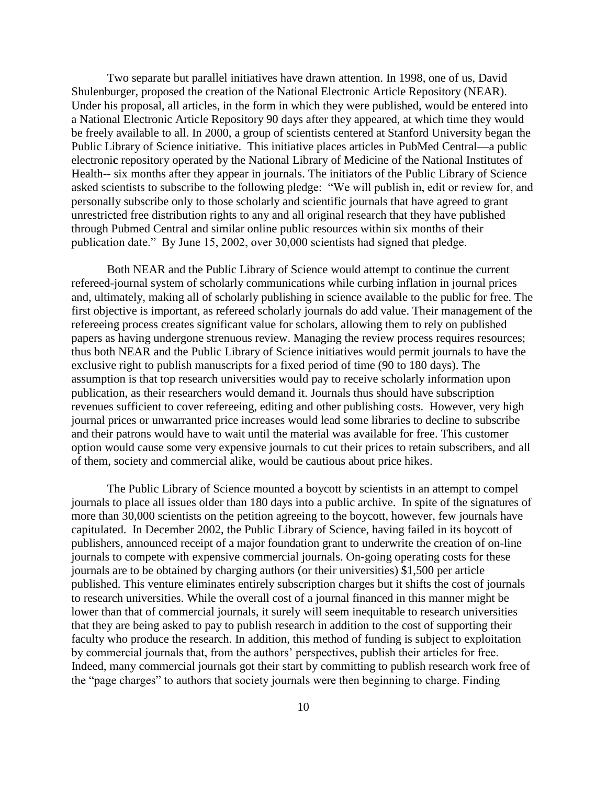Two separate but parallel initiatives have drawn attention. In 1998, one of us, David Shulenburger, proposed the creation of the National Electronic Article Repository (NEAR). Under his proposal, all articles, in the form in which they were published, would be entered into a National Electronic Article Repository 90 days after they appeared, at which time they would be freely available to all. In 2000, a group of scientists centered at Stanford University began the Public Library of Science initiative. This initiative places articles in PubMed Central—a public electroni**c** repository operated by the National Library of Medicine of the National Institutes of Health-- six months after they appear in journals. The initiators of the Public Library of Science asked scientists to subscribe to the following pledge: "We will publish in, edit or review for, and personally subscribe only to those scholarly and scientific journals that have agreed to grant unrestricted free distribution rights to any and all original research that they have published through Pubmed Central and similar online public resources within six months of their publication date." By June 15, 2002, over 30,000 scientists had signed that pledge.

Both NEAR and the Public Library of Science would attempt to continue the current refereed-journal system of scholarly communications while curbing inflation in journal prices and, ultimately, making all of scholarly publishing in science available to the public for free. The first objective is important, as refereed scholarly journals do add value. Their management of the refereeing process creates significant value for scholars, allowing them to rely on published papers as having undergone strenuous review. Managing the review process requires resources; thus both NEAR and the Public Library of Science initiatives would permit journals to have the exclusive right to publish manuscripts for a fixed period of time (90 to 180 days). The assumption is that top research universities would pay to receive scholarly information upon publication, as their researchers would demand it. Journals thus should have subscription revenues sufficient to cover refereeing, editing and other publishing costs. However, very high journal prices or unwarranted price increases would lead some libraries to decline to subscribe and their patrons would have to wait until the material was available for free. This customer option would cause some very expensive journals to cut their prices to retain subscribers, and all of them, society and commercial alike, would be cautious about price hikes.

The Public Library of Science mounted a boycott by scientists in an attempt to compel journals to place all issues older than 180 days into a public archive. In spite of the signatures of more than 30,000 scientists on the petition agreeing to the boycott, however, few journals have capitulated. In December 2002, the Public Library of Science, having failed in its boycott of publishers, announced receipt of a major foundation grant to underwrite the creation of on-line journals to compete with expensive commercial journals. On-going operating costs for these journals are to be obtained by charging authors (or their universities) \$1,500 per article published. This venture eliminates entirely subscription charges but it shifts the cost of journals to research universities. While the overall cost of a journal financed in this manner might be lower than that of commercial journals, it surely will seem inequitable to research universities that they are being asked to pay to publish research in addition to the cost of supporting their faculty who produce the research. In addition, this method of funding is subject to exploitation by commercial journals that, from the authors' perspectives, publish their articles for free. Indeed, many commercial journals got their start by committing to publish research work free of the "page charges" to authors that society journals were then beginning to charge. Finding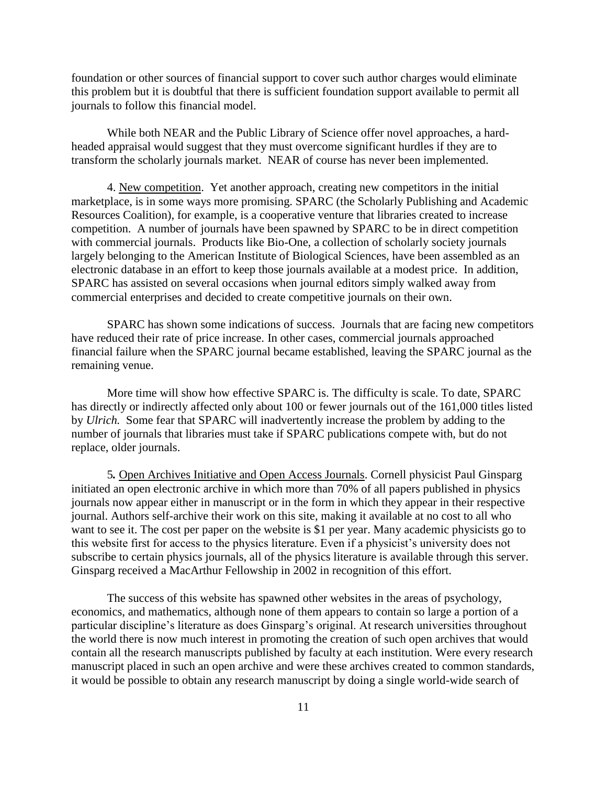foundation or other sources of financial support to cover such author charges would eliminate this problem but it is doubtful that there is sufficient foundation support available to permit all journals to follow this financial model.

While both NEAR and the Public Library of Science offer novel approaches, a hardheaded appraisal would suggest that they must overcome significant hurdles if they are to transform the scholarly journals market. NEAR of course has never been implemented.

4. New competition. Yet another approach, creating new competitors in the initial marketplace, is in some ways more promising. SPARC (the Scholarly Publishing and Academic Resources Coalition), for example, is a cooperative venture that libraries created to increase competition. A number of journals have been spawned by SPARC to be in direct competition with commercial journals. Products like Bio-One, a collection of scholarly society journals largely belonging to the American Institute of Biological Sciences, have been assembled as an electronic database in an effort to keep those journals available at a modest price. In addition, SPARC has assisted on several occasions when journal editors simply walked away from commercial enterprises and decided to create competitive journals on their own.

SPARC has shown some indications of success. Journals that are facing new competitors have reduced their rate of price increase. In other cases, commercial journals approached financial failure when the SPARC journal became established, leaving the SPARC journal as the remaining venue.

More time will show how effective SPARC is. The difficulty is scale. To date, SPARC has directly or indirectly affected only about 100 or fewer journals out of the 161,000 titles listed by *Ulrich.* Some fear that SPARC will inadvertently increase the problem by adding to the number of journals that libraries must take if SPARC publications compete with, but do not replace, older journals.

5*.* Open Archives Initiative and Open Access Journals. Cornell physicist Paul Ginsparg initiated an open electronic archive in which more than 70% of all papers published in physics journals now appear either in manuscript or in the form in which they appear in their respective journal. Authors self-archive their work on this site, making it available at no cost to all who want to see it. The cost per paper on the website is \$1 per year. Many academic physicists go to this website first for access to the physics literature. Even if a physicist's university does not subscribe to certain physics journals, all of the physics literature is available through this server. Ginsparg received a MacArthur Fellowship in 2002 in recognition of this effort.

The success of this website has spawned other websites in the areas of psychology, economics, and mathematics, although none of them appears to contain so large a portion of a particular discipline's literature as does Ginsparg's original. At research universities throughout the world there is now much interest in promoting the creation of such open archives that would contain all the research manuscripts published by faculty at each institution. Were every research manuscript placed in such an open archive and were these archives created to common standards, it would be possible to obtain any research manuscript by doing a single world-wide search of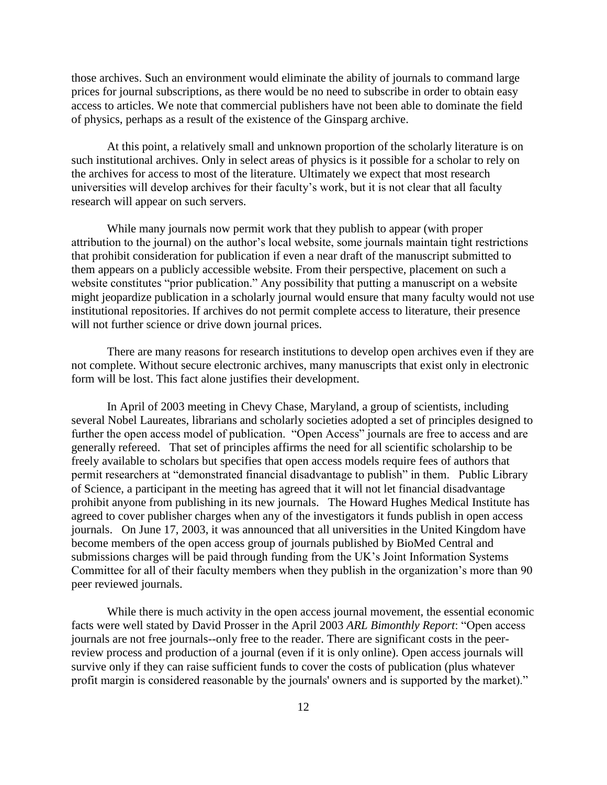those archives. Such an environment would eliminate the ability of journals to command large prices for journal subscriptions, as there would be no need to subscribe in order to obtain easy access to articles. We note that commercial publishers have not been able to dominate the field of physics, perhaps as a result of the existence of the Ginsparg archive.

At this point, a relatively small and unknown proportion of the scholarly literature is on such institutional archives. Only in select areas of physics is it possible for a scholar to rely on the archives for access to most of the literature. Ultimately we expect that most research universities will develop archives for their faculty's work, but it is not clear that all faculty research will appear on such servers.

While many journals now permit work that they publish to appear (with proper attribution to the journal) on the author's local website, some journals maintain tight restrictions that prohibit consideration for publication if even a near draft of the manuscript submitted to them appears on a publicly accessible website. From their perspective, placement on such a website constitutes "prior publication." Any possibility that putting a manuscript on a website might jeopardize publication in a scholarly journal would ensure that many faculty would not use institutional repositories. If archives do not permit complete access to literature, their presence will not further science or drive down journal prices.

There are many reasons for research institutions to develop open archives even if they are not complete. Without secure electronic archives, many manuscripts that exist only in electronic form will be lost. This fact alone justifies their development.

In April of 2003 meeting in Chevy Chase, Maryland, a group of scientists, including several Nobel Laureates, librarians and scholarly societies adopted a set of principles designed to further the open access model of publication. "Open Access" journals are free to access and are generally refereed. That set of principles affirms the need for all scientific scholarship to be freely available to scholars but specifies that open access models require fees of authors that permit researchers at "demonstrated financial disadvantage to publish" in them. Public Library of Science, a participant in the meeting has agreed that it will not let financial disadvantage prohibit anyone from publishing in its new journals. The Howard Hughes Medical Institute has agreed to cover publisher charges when any of the investigators it funds publish in open access journals. On June 17, 2003, it was announced that all universities in the United Kingdom have become members of the open access group of journals published by BioMed Central and submissions charges will be paid through funding from the UK's Joint Information Systems Committee for all of their faculty members when they publish in the organization's more than 90 peer reviewed journals.

While there is much activity in the open access journal movement, the essential economic facts were well stated by David Prosser in the April 2003 *ARL Bimonthly Report*: "Open access journals are not free journals--only free to the reader. There are significant costs in the peerreview process and production of a journal (even if it is only online). Open access journals will survive only if they can raise sufficient funds to cover the costs of publication (plus whatever profit margin is considered reasonable by the journals' owners and is supported by the market)."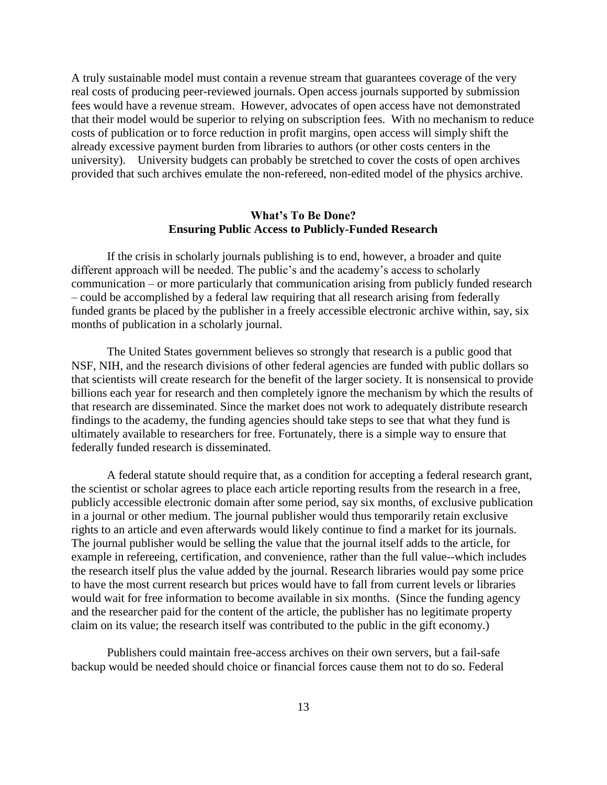A truly sustainable model must contain a revenue stream that guarantees coverage of the very real costs of producing peer-reviewed journals. Open access journals supported by submission fees would have a revenue stream. However, advocates of open access have not demonstrated that their model would be superior to relying on subscription fees. With no mechanism to reduce costs of publication or to force reduction in profit margins, open access will simply shift the already excessive payment burden from libraries to authors (or other costs centers in the university). University budgets can probably be stretched to cover the costs of open archives provided that such archives emulate the non-refereed, non-edited model of the physics archive.

## **What's To Be Done? Ensuring Public Access to Publicly-Funded Research**

If the crisis in scholarly journals publishing is to end, however, a broader and quite different approach will be needed. The public's and the academy's access to scholarly communication – or more particularly that communication arising from publicly funded research – could be accomplished by a federal law requiring that all research arising from federally funded grants be placed by the publisher in a freely accessible electronic archive within, say, six months of publication in a scholarly journal.

The United States government believes so strongly that research is a public good that NSF, NIH, and the research divisions of other federal agencies are funded with public dollars so that scientists will create research for the benefit of the larger society. It is nonsensical to provide billions each year for research and then completely ignore the mechanism by which the results of that research are disseminated. Since the market does not work to adequately distribute research findings to the academy, the funding agencies should take steps to see that what they fund is ultimately available to researchers for free. Fortunately, there is a simple way to ensure that federally funded research is disseminated.

A federal statute should require that, as a condition for accepting a federal research grant, the scientist or scholar agrees to place each article reporting results from the research in a free, publicly accessible electronic domain after some period, say six months, of exclusive publication in a journal or other medium. The journal publisher would thus temporarily retain exclusive rights to an article and even afterwards would likely continue to find a market for its journals. The journal publisher would be selling the value that the journal itself adds to the article, for example in refereeing, certification, and convenience, rather than the full value--which includes the research itself plus the value added by the journal. Research libraries would pay some price to have the most current research but prices would have to fall from current levels or libraries would wait for free information to become available in six months. (Since the funding agency and the researcher paid for the content of the article, the publisher has no legitimate property claim on its value; the research itself was contributed to the public in the gift economy.)

Publishers could maintain free-access archives on their own servers, but a fail-safe backup would be needed should choice or financial forces cause them not to do so. Federal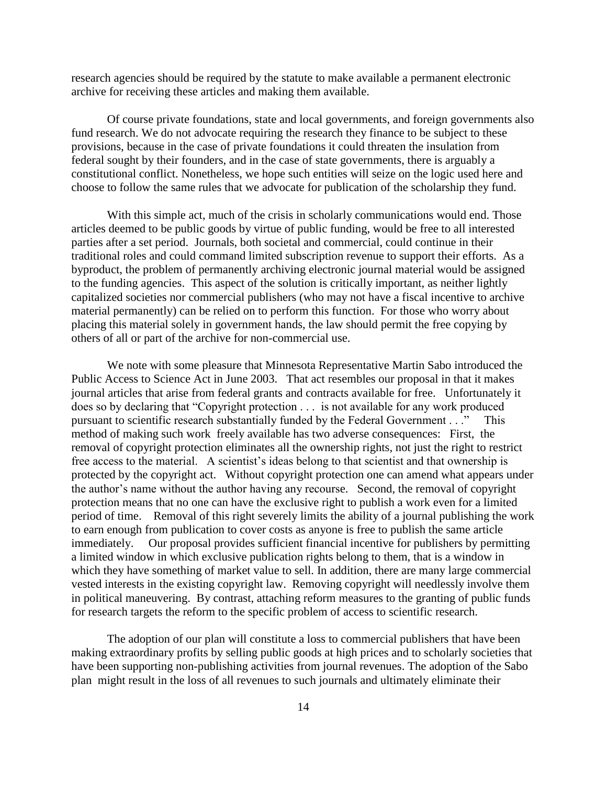research agencies should be required by the statute to make available a permanent electronic archive for receiving these articles and making them available.

Of course private foundations, state and local governments, and foreign governments also fund research. We do not advocate requiring the research they finance to be subject to these provisions, because in the case of private foundations it could threaten the insulation from federal sought by their founders, and in the case of state governments, there is arguably a constitutional conflict. Nonetheless, we hope such entities will seize on the logic used here and choose to follow the same rules that we advocate for publication of the scholarship they fund.

With this simple act, much of the crisis in scholarly communications would end. Those articles deemed to be public goods by virtue of public funding, would be free to all interested parties after a set period. Journals, both societal and commercial, could continue in their traditional roles and could command limited subscription revenue to support their efforts. As a byproduct, the problem of permanently archiving electronic journal material would be assigned to the funding agencies. This aspect of the solution is critically important, as neither lightly capitalized societies nor commercial publishers (who may not have a fiscal incentive to archive material permanently) can be relied on to perform this function. For those who worry about placing this material solely in government hands, the law should permit the free copying by others of all or part of the archive for non-commercial use.

We note with some pleasure that Minnesota Representative Martin Sabo introduced the Public Access to Science Act in June 2003. That act resembles our proposal in that it makes journal articles that arise from federal grants and contracts available for free. Unfortunately it does so by declaring that "Copyright protection . . . is not available for any work produced pursuant to scientific research substantially funded by the Federal Government . . ." This method of making such work freely available has two adverse consequences: First, the removal of copyright protection eliminates all the ownership rights, not just the right to restrict free access to the material. A scientist's ideas belong to that scientist and that ownership is protected by the copyright act. Without copyright protection one can amend what appears under the author's name without the author having any recourse. Second, the removal of copyright protection means that no one can have the exclusive right to publish a work even for a limited period of time. Removal of this right severely limits the ability of a journal publishing the work to earn enough from publication to cover costs as anyone is free to publish the same article immediately. Our proposal provides sufficient financial incentive for publishers by permitting a limited window in which exclusive publication rights belong to them, that is a window in which they have something of market value to sell. In addition, there are many large commercial vested interests in the existing copyright law. Removing copyright will needlessly involve them in political maneuvering. By contrast, attaching reform measures to the granting of public funds for research targets the reform to the specific problem of access to scientific research.

The adoption of our plan will constitute a loss to commercial publishers that have been making extraordinary profits by selling public goods at high prices and to scholarly societies that have been supporting non-publishing activities from journal revenues. The adoption of the Sabo plan might result in the loss of all revenues to such journals and ultimately eliminate their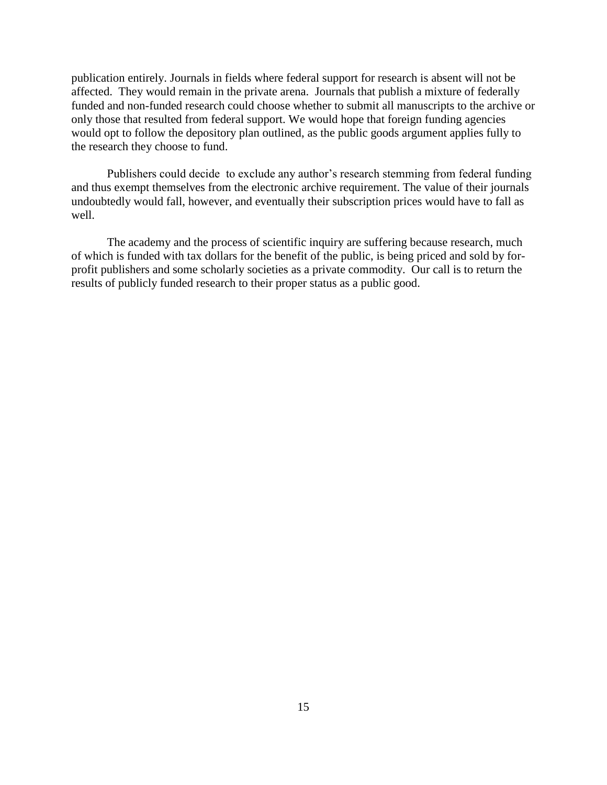publication entirely. Journals in fields where federal support for research is absent will not be affected. They would remain in the private arena. Journals that publish a mixture of federally funded and non-funded research could choose whether to submit all manuscripts to the archive or only those that resulted from federal support. We would hope that foreign funding agencies would opt to follow the depository plan outlined, as the public goods argument applies fully to the research they choose to fund.

Publishers could decide to exclude any author's research stemming from federal funding and thus exempt themselves from the electronic archive requirement. The value of their journals undoubtedly would fall, however, and eventually their subscription prices would have to fall as well.

The academy and the process of scientific inquiry are suffering because research, much of which is funded with tax dollars for the benefit of the public, is being priced and sold by forprofit publishers and some scholarly societies as a private commodity. Our call is to return the results of publicly funded research to their proper status as a public good.